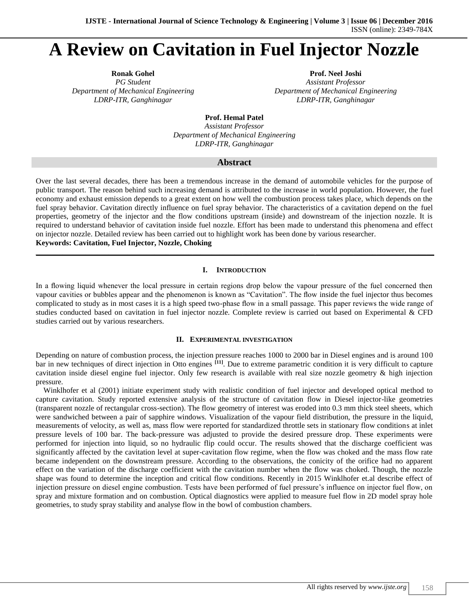# **A Review on Cavitation in Fuel Injector Nozzle**

**Ronak Gohel Prof. Neel Joshi** *PG Student Assistant Professor*

*Department of Mechanical Engineering Department of Mechanical Engineering LDRP-ITR, Ganghinagar LDRP-ITR, Ganghinagar*

**Prof. Hemal Patel**

*Assistant Professor Department of Mechanical Engineering LDRP-ITR, Ganghinagar*

# **Abstract**

Over the last several decades, there has been a tremendous increase in the demand of automobile vehicles for the purpose of public transport. The reason behind such increasing demand is attributed to the increase in world population. However, the fuel economy and exhaust emission depends to a great extent on how well the combustion process takes place, which depends on the fuel spray behavior. Cavitation directly influence on fuel spray behavior. The characteristics of a cavitation depend on the fuel properties, geometry of the injector and the flow conditions upstream (inside) and downstream of the injection nozzle. It is required to understand behavior of cavitation inside fuel nozzle. Effort has been made to understand this phenomena and effect on injector nozzle. Detailed review has been carried out to highlight work has been done by various researcher.

**Keywords: Cavitation, Fuel Injector, Nozzle, Choking**

# **I. INTRODUCTION**

**\_\_\_\_\_\_\_\_\_\_\_\_\_\_\_\_\_\_\_\_\_\_\_\_\_\_\_\_\_\_\_\_\_\_\_\_\_\_\_\_\_\_\_\_\_\_\_\_\_\_\_\_\_\_\_\_\_\_\_\_\_\_\_\_\_\_\_\_\_\_\_\_\_\_\_\_\_\_\_\_\_\_\_\_\_\_\_\_\_\_\_\_\_\_\_\_\_\_\_\_\_\_\_\_**

In a flowing liquid whenever the local pressure in certain regions drop below the vapour pressure of the fuel concerned then vapour cavities or bubbles appear and the phenomenon is known as "Cavitation". The flow inside the fuel injector thus becomes complicated to study as in most cases it is a high speed two-phase flow in a small passage. This paper reviews the wide range of studies conducted based on cavitation in fuel injector nozzle. Complete review is carried out based on Experimental & CFD studies carried out by various researchers.

## **II. EXPERIMENTAL INVESTIGATION**

Depending on nature of combustion process, the injection pressure reaches 1000 to 2000 bar in Diesel engines and is around 100 bar in new techniques of direct injection in Otto engines **[11]**. Due to extreme parametric condition it is very difficult to capture cavitation inside diesel engine fuel injector. Only few research is available with real size nozzle geometry & high injection pressure.

Winklhofer et al (2001) initiate experiment study with realistic condition of fuel injector and developed optical method to capture cavitation. Study reported extensive analysis of the structure of cavitation flow in Diesel injector-like geometries (transparent nozzle of rectangular cross-section). The flow geometry of interest was eroded into 0.3 mm thick steel sheets, which were sandwiched between a pair of sapphire windows. Visualization of the vapour field distribution, the pressure in the liquid, measurements of velocity, as well as, mass flow were reported for standardized throttle sets in stationary flow conditions at inlet pressure levels of 100 bar. The back-pressure was adjusted to provide the desired pressure drop. These experiments were performed for injection into liquid, so no hydraulic flip could occur. The results showed that the discharge coefficient was significantly affected by the cavitation level at super-cavitation flow regime, when the flow was choked and the mass flow rate became independent on the downstream pressure. According to the observations, the conicity of the orifice had no apparent effect on the variation of the discharge coefficient with the cavitation number when the flow was choked. Though, the nozzle shape was found to determine the inception and critical flow conditions. Recently in 2015 Winklhofer et.al describe effect of injection pressure on diesel engine combustion. Tests have been performed of fuel pressure's influence on injector fuel flow, on spray and mixture formation and on combustion. Optical diagnostics were applied to measure fuel flow in 2D model spray hole geometries, to study spray stability and analyse flow in the bowl of combustion chambers.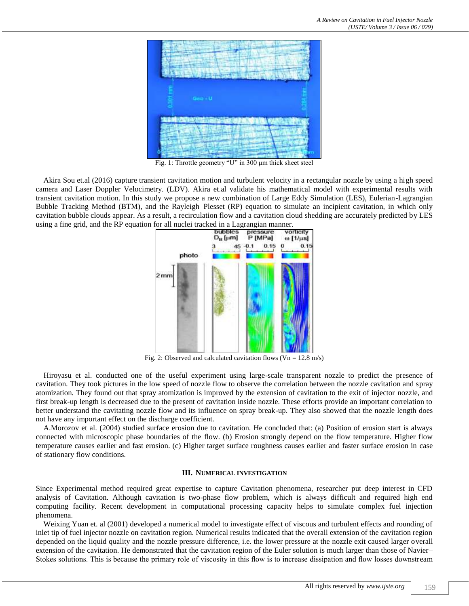

Fig. 1: Throttle geometry "U" in 300 μm thick sheet steel

Akira Sou et.al (2016) capture transient cavitation motion and turbulent velocity in a rectangular nozzle by using a high speed camera and Laser Doppler Velocimetry. (LDV). Akira et.al validate his mathematical model with experimental results with transient cavitation motion. In this study we propose a new combination of Large Eddy Simulation (LES), Eulerian-Lagrangian Bubble Tracking Method (BTM), and the Rayleigh–Plesset (RP) equation to simulate an incipient cavitation, in which only cavitation bubble clouds appear. As a result, a recirculation flow and a cavitation cloud shedding are accurately predicted by LES using a fine grid, and the RP equation for all nuclei tracked in a Lagrangian manner.



Fig. 2: Observed and calculated cavitation flows ( $Vn = 12.8$  m/s)

Hiroyasu et al. conducted one of the useful experiment using large-scale transparent nozzle to predict the presence of cavitation. They took pictures in the low speed of nozzle flow to observe the correlation between the nozzle cavitation and spray atomization. They found out that spray atomization is improved by the extension of cavitation to the exit of injector nozzle, and first break-up length is decreased due to the present of cavitation inside nozzle. These efforts provide an important correlation to better understand the cavitating nozzle flow and its influence on spray break-up. They also showed that the nozzle length does not have any important effect on the discharge coefficient.

A.Morozov et al. (2004) studied surface erosion due to cavitation. He concluded that: (a) Position of erosion start is always connected with microscopic phase boundaries of the flow. (b) Erosion strongly depend on the flow temperature. Higher flow temperature causes earlier and fast erosion. (c) Higher target surface roughness causes earlier and faster surface erosion in case of stationary flow conditions.

### **III. NUMERICAL INVESTIGATION**

Since Experimental method required great expertise to capture Cavitation phenomena, researcher put deep interest in CFD analysis of Cavitation. Although cavitation is two-phase flow problem, which is always difficult and required high end computing facility. Recent development in computational processing capacity helps to simulate complex fuel injection phenomena.

Weixing Yuan et. al (2001) developed a numerical model to investigate effect of viscous and turbulent effects and rounding of inlet tip of fuel injector nozzle on cavitation region. Numerical results indicated that the overall extension of the cavitation region depended on the liquid quality and the nozzle pressure difference, i.e. the lower pressure at the nozzle exit caused larger overall extension of the cavitation. He demonstrated that the cavitation region of the Euler solution is much larger than those of Navier– Stokes solutions. This is because the primary role of viscosity in this flow is to increase dissipation and flow losses downstream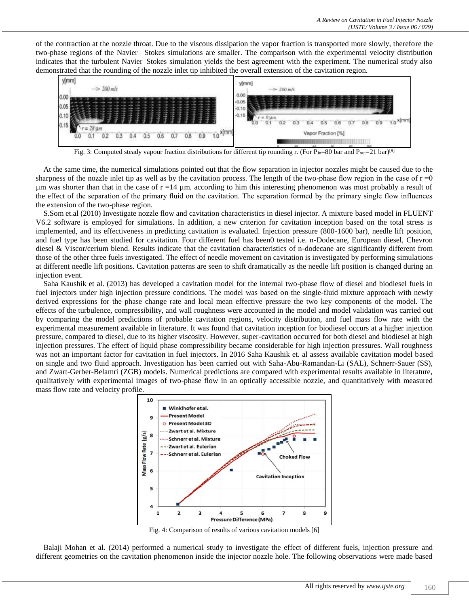of the contraction at the nozzle throat. Due to the viscous dissipation the vapor fraction is transported more slowly, therefore the two-phase regions of the Navier– Stokes simulations are smaller. The comparison with the experimental velocity distribution indicates that the turbulent Navier–Stokes simulation yields the best agreement with the experiment. The numerical study also demonstrated that the rounding of the nozzle inlet tip inhibited the overall extension of the cavitation region.



Fig. 3: Computed steady vapour fraction distributions for different tip rounding r. (For Pin=80 bar and P<sub>out</sub>=21 bar)<sup>[9]</sup>

At the same time, the numerical simulations pointed out that the flow separation in injector nozzles might be caused due to the sharpness of the nozzle inlet tip as well as by the cavitation process. The length of the two-phase flow region in the case of  $r = 0$  $\mu$ m was shorter than that in the case of r =14  $\mu$ m. according to him this interesting phenomenon was most probably a result of the effect of the separation of the primary fluid on the cavitation. The separation formed by the primary single flow influences the extension of the two-phase region.

S.Som et.al (2010) Investigate nozzle flow and cavitation characteristics in diesel injector. A mixture based model in FLUENT V6.2 software is employed for simulations. In addition, a new criterion for cavitation inception based on the total stress is implemented, and its effectiveness in predicting cavitation is evaluated. Injection pressure (800-1600 bar), needle lift position, and fuel type has been studied for cavitation. Four different fuel has been0 tested i.e. n-Dodecane, European diesel, Chevron diesel & Viscor/cerium blend. Results indicate that the cavitation characteristics of n-dodecane are significantly different from those of the other three fuels investigated. The effect of needle movement on cavitation is investigated by performing simulations at different needle lift positions. Cavitation patterns are seen to shift dramatically as the needle lift position is changed during an injection event.

Saha Kaushik et al. (2013) has developed a cavitation model for the internal two-phase flow of diesel and biodiesel fuels in fuel injectors under high injection pressure conditions. The model was based on the single-fluid mixture approach with newly derived expressions for the phase change rate and local mean effective pressure the two key components of the model. The effects of the turbulence, compressibility, and wall roughness were accounted in the model and model validation was carried out by comparing the model predictions of probable cavitation regions, velocity distribution, and fuel mass flow rate with the experimental measurement available in literature. It was found that cavitation inception for biodiesel occurs at a higher injection pressure, compared to diesel, due to its higher viscosity. However, super-cavitation occurred for both diesel and biodiesel at high injection pressures. The effect of liquid phase compressibility became considerable for high injection pressures. Wall roughness was not an important factor for cavitation in fuel injectors. In 2016 Saha Kaushik et. al assess available cavitation model based on single and two fluid approach. Investigation has been carried out with Saha-Abu-Ramandan-Li (SAL), Schnerr-Sauer (SS), and Zwart-Gerber-Belamri (ZGB) models. Numerical predictions are compared with experimental results available in literature, qualitatively with experimental images of two-phase flow in an optically accessible nozzle, and quantitatively with measured mass flow rate and velocity profile.



Fig. 4: Comparison of results of various cavitation models [6]

Balaji Mohan et al. (2014) performed a numerical study to investigate the effect of different fuels, injection pressure and different geometries on the cavitation phenomenon inside the injector nozzle hole. The following observations were made based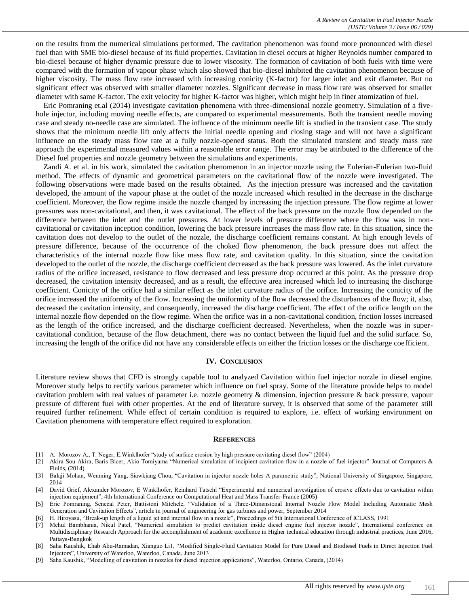on the results from the numerical simulations performed. The cavitation phenomenon was found more pronounced with diesel fuel than with SME bio-diesel because of its fluid properties. Cavitation in diesel occurs at higher Reynolds number compared to bio-diesel because of higher dynamic pressure due to lower viscosity. The formation of cavitation of both fuels with time were compared with the formation of vapour phase which also showed that bio-diesel inhibited the cavitation phenomenon because of higher viscosity. The mass flow rate increased with increasing conicity (K-factor) for larger inlet and exit diameter. But no significant effect was observed with smaller diameter nozzles. Significant decrease in mass flow rate was observed for smaller diameter with same K-factor. The exit velocity for higher K-factor was higher, which might help in finer atomization of fuel.

Eric Pomraning et.al (2014) investigate cavitation phenomena with three-dimensional nozzle geometry. Simulation of a fivehole injector, including moving needle effects, are compared to experimental measurements. Both the transient needle moving case and steady no-needle case are simulated. The influence of the minimum needle lift is studied in the transient case. The study shows that the minimum needle lift only affects the initial needle opening and closing stage and will not have a significant influence on the steady mass flow rate at a fully nozzle-opened status. Both the simulated transient and steady mass rate approach the experimental measured values within a reasonable error range. The error may be attributed to the difference of the Diesel fuel properties and nozzle geometry between the simulations and experiments.

Zandi A. et al. in his work, simulated the cavitation phenomenon in an injector nozzle using the Eulerian-Eulerian two-fluid method. The effects of dynamic and geometrical parameters on the cavitational flow of the nozzle were investigated. The following observations were made based on the results obtained. As the injection pressure was increased and the cavitation developed, the amount of the vapour phase at the outlet of the nozzle increased which resulted in the decrease in the discharge coefficient. Moreover, the flow regime inside the nozzle changed by increasing the injection pressure. The flow regime at lower pressures was non-cavitational, and then, it was cavitational. The effect of the back pressure on the nozzle flow depended on the difference between the inlet and the outlet pressures. At lower levels of pressure difference where the flow was in noncavitational or cavitation inception condition, lowering the back pressure increases the mass flow rate. In this situation, since the cavitation does not develop to the outlet of the nozzle, the discharge coefficient remains constant. At high enough levels of pressure difference, because of the occurrence of the choked flow phenomenon, the back pressure does not affect the characteristics of the internal nozzle flow like mass flow rate, and cavitation quality. In this situation, since the cavitation developed to the outlet of the nozzle, the discharge coefficient decreased as the back pressure was lowered. As the inlet curvature radius of the orifice increased, resistance to flow decreased and less pressure drop occurred at this point. As the pressure drop decreased, the cavitation intensity decreased, and as a result, the effective area increased which led to increasing the discharge coefficient. Conicity of the orifice had a similar effect as the inlet curvature radius of the orifice. Increasing the conicity of the orifice increased the uniformity of the flow. Increasing the uniformity of the flow decreased the disturbances of the flow; it, also, decreased the cavitation intensity, and consequently, increased the discharge coefficient. The effect of the orifice length on the internal nozzle flow depended on the flow regime. When the orifice was in a non-cavitational condition, friction losses increased as the length of the orifice increased, and the discharge coefficient decreased. Nevertheless, when the nozzle was in supercavitational condition, because of the flow detachment, there was no contact between the liquid fuel and the solid surface. So, increasing the length of the orifice did not have any considerable effects on either the friction losses or the discharge coefficient.

#### **IV. CONCLUSION**

Literature review shows that CFD is strongly capable tool to analyzed Cavitation within fuel injector nozzle in diesel engine. Moreover study helps to rectify various parameter which influence on fuel spray. Some of the literature provide helps to model cavitation problem with real values of parameter i.e. nozzle geometry & dimension, injection pressure & back pressure, vapour pressure of different fuel with other properties. At the end of literature survey, it is observed that some of the parameter still required further refinement. While effect of certain condition is required to explore, i.e. effect of working environment on Cavitation phenomena with temperature effect required to exploration.

#### **REFERENCES**

- [1] A. Morozov A., T. Neger, E.Winklhofer "study of surface erosion by high pressure cavitating diesel flow" (2004)
- [2] Akira Sou Akira, Baris Bicer, Akio Tomiyama "Numerical simulation of incipient cavitation flow in a nozzle of fuel injector" Journal of Computers & Fluids, (2014)
- [3] Balaji Mohan, Wenming Yang, Siawkiang Chou, "Cavitation in injector nozzle holes-A parametric study", National University of Singapore, Singapore, 2014
- [4] David Grief, Alexander Morozov, E Winklhofer, Reinhard Tatschl "Experimental and numerical investigation of erosive effects due to cavitation within injection equipment", 4th International Conference on Computational Heat and Mass Transfer-France (2005)
- Eric Pomraning, Senecal Peter, Battistoni Mitchele, "Validation of a Three-Dimensional Internal Nozzle Flow Model Including Automatic Mesh Generation and Cavitation Effects", article in journal of engineering for gas turbines and power, September 2014
- [6] H. Hiroyasu, "Break-up length of a liquid jet and internal flow in a nozzle", Proceedings of 5th International Conference of ICLASS, 1991
- [7] Mehul Bambhania, Nikul Patel, "Numerical simulation to predict cavitation inside diesel engine fuel injector nozzle", International conference on Multidisciplinary Research Approach for the accomplishment of academic excellence in Higher technical education through industrial practices, June 2016, Pattaya-Bangkok
- Saha Kaushik, Ehab Abu-Ramadan, Xianguo Li1, "Modified Single-Fluid Cavitation Model for Pure Diesel and Biodiesel Fuels in Direct Injection Fuel Injectors", University of Waterloo, Waterloo, Canada, June 2013
- [9] Saha Kaushik, "Modelling of cavitation in nozzles for diesel injection applications", Waterloo, Ontario, Canada, (2014)
	- All rights reserved by *www.ijste.org* | 161